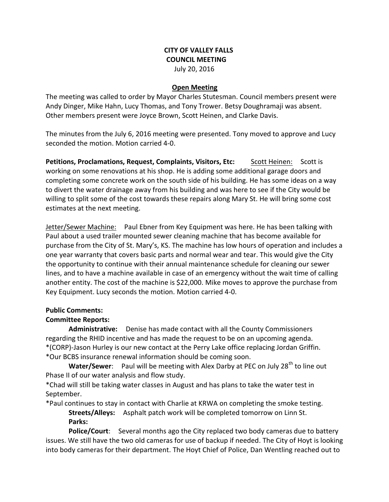## **CITY OF VALLEY FALLS COUNCIL MEETING** July 20, 2016

### **Open Meeting**

The meeting was called to order by Mayor Charles Stutesman. Council members present were Andy Dinger, Mike Hahn, Lucy Thomas, and Tony Trower. Betsy Doughramaji was absent. Other members present were Joyce Brown, Scott Heinen, and Clarke Davis.

The minutes from the July 6, 2016 meeting were presented. Tony moved to approve and Lucy seconded the motion. Motion carried 4-0.

**Petitions, Proclamations, Request, Complaints, Visitors, Etc:** Scott Heinen: Scott is working on some renovations at his shop. He is adding some additional garage doors and completing some concrete work on the south side of his building. He has some ideas on a way to divert the water drainage away from his building and was here to see if the City would be willing to split some of the cost towards these repairs along Mary St. He will bring some cost estimates at the next meeting.

Jetter/Sewer Machine: Paul Ebner from Key Equipment was here. He has been talking with Paul about a used trailer mounted sewer cleaning machine that has become available for purchase from the City of St. Mary's, KS. The machine has low hours of operation and includes a one year warranty that covers basic parts and normal wear and tear. This would give the City the opportunity to continue with their annual maintenance schedule for cleaning our sewer lines, and to have a machine available in case of an emergency without the wait time of calling another entity. The cost of the machine is \$22,000. Mike moves to approve the purchase from Key Equipment. Lucy seconds the motion. Motion carried 4-0.

### **Public Comments:**

## **Committee Reports:**

**Administrative:** Denise has made contact with all the County Commissioners regarding the RHID incentive and has made the request to be on an upcoming agenda. \*(CORP)-Jason Hurley is our new contact at the Perry Lake office replacing Jordan Griffin. \*Our BCBS insurance renewal information should be coming soon.

**Water/Sewer**: Paul will be meeting with Alex Darby at PEC on July 28<sup>th</sup> to line out Phase II of our water analysis and flow study.

\*Chad will still be taking water classes in August and has plans to take the water test in September.

\*Paul continues to stay in contact with Charlie at KRWA on completing the smoke testing.

**Streets/Alleys:** Asphalt patch work will be completed tomorrow on Linn St. **Parks:** 

**Police/Court**: Several months ago the City replaced two body cameras due to battery issues. We still have the two old cameras for use of backup if needed. The City of Hoyt is looking into body cameras for their department. The Hoyt Chief of Police, Dan Wentling reached out to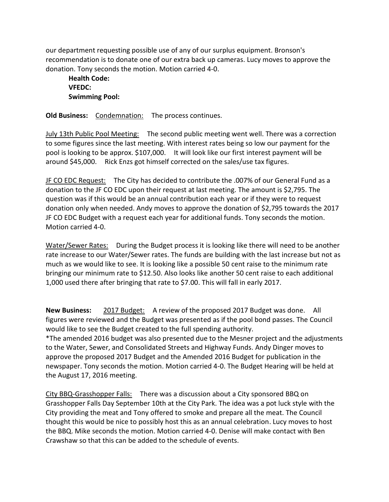our department requesting possible use of any of our surplus equipment. Bronson's recommendation is to donate one of our extra back up cameras. Lucy moves to approve the donation. Tony seconds the motion. Motion carried 4-0.

**Health Code: VFEDC: Swimming Pool:** 

**Old Business:** Condemnation: The process continues.

July 13th Public Pool Meeting: The second public meeting went well. There was a correction to some figures since the last meeting. With interest rates being so low our payment for the pool is looking to be approx. \$107,000. It will look like our first interest payment will be around \$45,000. Rick Enzs got himself corrected on the sales/use tax figures.

JF CO EDC Request: The City has decided to contribute the .007% of our General Fund as a donation to the JF CO EDC upon their request at last meeting. The amount is \$2,795. The question was if this would be an annual contribution each year or if they were to request donation only when needed. Andy moves to approve the donation of \$2,795 towards the 2017 JF CO EDC Budget with a request each year for additional funds. Tony seconds the motion. Motion carried 4-0.

Water/Sewer Rates: During the Budget process it is looking like there will need to be another rate increase to our Water/Sewer rates. The funds are building with the last increase but not as much as we would like to see. It is looking like a possible 50 cent raise to the minimum rate bringing our minimum rate to \$12.50. Also looks like another 50 cent raise to each additional 1,000 used there after bringing that rate to \$7.00. This will fall in early 2017.

**New Business:** 2017 Budget: A review of the proposed 2017 Budget was done. All figures were reviewed and the Budget was presented as if the pool bond passes. The Council would like to see the Budget created to the full spending authority.

\*The amended 2016 budget was also presented due to the Mesner project and the adjustments to the Water, Sewer, and Consolidated Streets and Highway Funds. Andy Dinger moves to approve the proposed 2017 Budget and the Amended 2016 Budget for publication in the newspaper. Tony seconds the motion. Motion carried 4-0. The Budget Hearing will be held at the August 17, 2016 meeting.

City BBQ-Grasshopper Falls: There was a discussion about a City sponsored BBQ on Grasshopper Falls Day September 10th at the City Park. The idea was a pot luck style with the City providing the meat and Tony offered to smoke and prepare all the meat. The Council thought this would be nice to possibly host this as an annual celebration. Lucy moves to host the BBQ. Mike seconds the motion. Motion carried 4-0. Denise will make contact with Ben Crawshaw so that this can be added to the schedule of events.